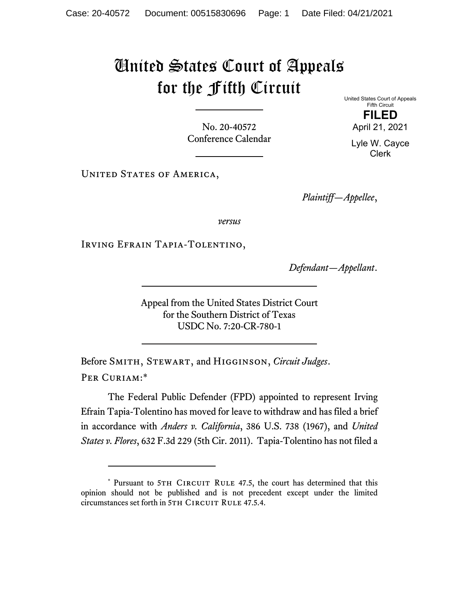## United States Court of Appeals for the Fifth Circuit

No. 20-40572 Conference Calendar United States Court of Appeals Fifth Circuit **FILED**  April 21, 2021

> Lyle W. Cayce Clerk

UNITED STATES OF AMERICA,

*Plaintiff—Appellee*,

*versus*

Irving Efrain Tapia-Tolentino,

*Defendant—Appellant*.

Appeal from the United States District Court for the Southern District of Texas USDC No. 7:20-CR-780-1

Before Smith, Stewart, and Higginson, *Circuit Judges*. Per Curiam:\*

The Federal Public Defender (FPD) appointed to represent Irving Efrain Tapia-Tolentino has moved for leave to withdraw and has filed a brief in accordance with *Anders v. California*, 386 U.S. 738 (1967), and *United States v. Flores*, 632 F.3d 229 (5th Cir. 2011). Tapia-Tolentino has not filed a

<sup>\*</sup> Pursuant to 5TH CIRCUIT RULE 47.5, the court has determined that this opinion should not be published and is not precedent except under the limited circumstances set forth in 5TH CIRCUIT RULE 47.5.4.